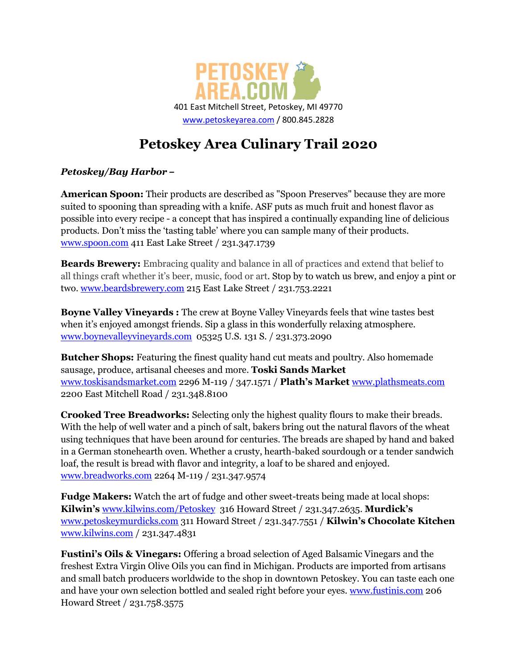

# **Petoskey Area Culinary Trail 2020**

### *Petoskey/Bay Harbor –*

**American Spoon:** Their products are described as "Spoon Preserves" because they are more suited to spooning than spreading with a knife. ASF puts as much fruit and honest flavor as possible into every recipe - a concept that has inspired a continually expanding line of delicious products. Don't miss the 'tasting table' where you can sample many of their products. [www.spoon.com](http://www.spoon.com/) 411 East Lake Street / 231.347.1739

**Beards Brewery:** Embracing quality and balance in all of practices and extend that belief to all things craft whether it's beer, music, food or art. Stop by to watch us brew, and enjoy a pint or two. [www.beardsbrewery.com](http://www.beardsbrewery.com/) 215 East Lake Street / 231.753.2221

**Boyne Valley Vineyards :** The crew at Boyne Valley Vineyards feels that wine tastes best when it's enjoyed amongst friends. Sip a glass in this wonderfully relaxing atmosphere. [www.boynevalleyvineyards.com](http://www.boynevalleyvineyards.com/) 05325 U.S. 131 S. / 231.373.2090

**Butcher Shops:** Featuring the finest quality hand cut meats and poultry. Also homemade sausage, produce, artisanal cheeses and more. **Toski Sands Market** [www.toskisandsmarket.com](http://www.toskisandsmarket.com/) 2296 M-119 / 347.1571 / **Plath's Market** [www.plathsmeats.com](http://www.plathsmeats.com/) 2200 East Mitchell Road / 231.348.8100

**Crooked Tree Breadworks:** Selecting only the highest quality flours to make their breads. With the help of well water and a pinch of salt, bakers bring out the natural flavors of the wheat using techniques that have been around for centuries. The breads are shaped by hand and baked in a German stonehearth oven. Whether a crusty, hearth-baked sourdough or a tender sandwich loaf, the result is bread with flavor and integrity, a loaf to be shared and enjoyed. [www.breadworks.com](http://www.breadworks.com/) 2264 M-119 / 231.347.9574

**Fudge Makers:** Watch the art of fudge and other sweet-treats being made at local shops: **Kilwin's** [www.kilwins.com/Petoskey](http://www.kilwins.com/Petoskey%20316%20Howard%20Street%20347.2635) 316 Howard Street / 231.347.2635. **Murdick's**  [www.petoskeymurdicks.com](http://www.petoskeymurdicks.com/) 311 Howard Street / 231.347.7551 / **Kilwin's Chocolate Kitchen**  [www.kilwins.com](http://www.kilwins.com/) / 231.347.4831

**Fustini's Oils & Vinegars:** Offering a broad selection of Aged Balsamic Vinegars and the freshest Extra Virgin Olive Oils you can find in Michigan. Products are imported from artisans and small batch producers worldwide to the shop in downtown Petoskey. You can taste each one and have your own selection bottled and sealed right before your eyes. [www.fustinis.com](http://www.fustinis.com/) 206 Howard Street / 231.758.3575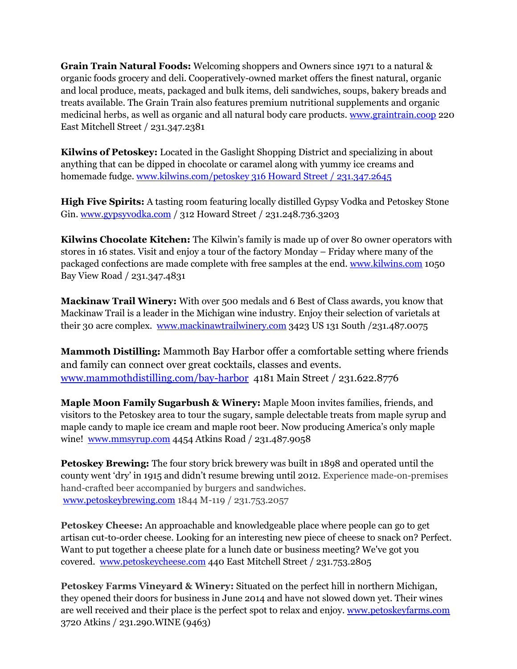**Grain Train Natural Foods:** Welcoming shoppers and Owners since 1971 to a natural & organic foods grocery and deli. Cooperatively-owned market offers the finest natural, organic and local produce, meats, packaged and bulk items, deli sandwiches, soups, bakery breads and treats available. The Grain Train also features premium nutritional supplements and organic medicinal herbs, as well as organic and all natural body care products. [www.graintrain.coop](http://www.graintrain.coop/) 220 East Mitchell Street / 231.347.2381

**Kilwins of Petoskey:** Located in the Gaslight Shopping District and specializing in about anything that can be dipped in chocolate or caramel along with yummy ice creams and homemade fudge[. www.kilwins.com/petoskey 316 Howard Street / 231.347.2645](http://www.kilwins.com/petoskey%20316%20Howard%20Street%20/%20231.347.2645)

**High Five Spirits:** A tasting room featuring locally distilled Gypsy Vodka and Petoskey Stone Gin. [www.gypsyvodka.com](http://www.gypsyvodka.com/) / 312 Howard Street / 231.248.736.3203

**Kilwins Chocolate Kitchen:** The Kilwin's family is made up of over 80 owner operators with stores in 16 states. Visit and enjoy a tour of the factory Monday – Friday where many of the packaged confections are made complete with free samples at the end. [www.kilwins.com](http://www.kilwins.com/) 1050 Bay View Road / 231.347.4831

**Mackinaw Trail Winery:** With over 500 medals and 6 Best of Class awards, you know that Mackinaw Trail is a leader in the Michigan wine industry. Enjoy their selection of varietals at their 30 acre complex. [www.mackinawtrailwinery.com](http://www.mackinawtrailwinery.com/) 3423 US 131 South /231.487.0075

**Mammoth Distilling:** Mammoth Bay Harbor offer a comfortable setting where friends and family can connect over great cocktails, classes and events. [www.mammothdistilling.com/bay-harbor](http://www.mammothdistilling.com/bay-harbor) 4181 Main Street / 231.622.8776

**Maple Moon Family Sugarbush & Winery:** Maple Moon invites families, friends, and visitors to the Petoskey area to tour the sugary, sample delectable treats from maple syrup and maple candy to maple ice cream and maple root beer. Now producing America's only maple wine! [www.mmsyrup.com](http://www.mmsyrup.com/) 4454 Atkins Road / 231.487.9058

**Petoskey Brewing:** The four story brick brewery was built in 1898 and operated until the county went 'dry' in 1915 and didn't resume brewing until 2012. Experience made-on-premises hand-crafted beer accompanied by burgers and sandwiches. [www.petoskeybrewing.com](http://www.petoskeybrewing.com/) 1844 M-119 / 231.753.2057

**Petoskey Cheese:** An approachable and knowledgeable place where people can go to get artisan cut-to-order cheese. Looking for an interesting new piece of cheese to snack on? Perfect. Want to put together a cheese plate for a lunch date or business meeting? We've got you covered. [www.petoskeycheese.com](http://www.petoskeycheese.com/) 440 East Mitchell Street / 231.753.2805

**Petoskey Farms Vineyard & Winery:** Situated on the perfect hill in northern Michigan, they opened their doors for business in June 2014 and have not slowed down yet. Their wines are well received and their place is the perfect spot to relax and enjoy. [www.petoskeyfarms.com](http://www.petoskeyfarms.com/) 3720 Atkins / 231.290.WINE (9463)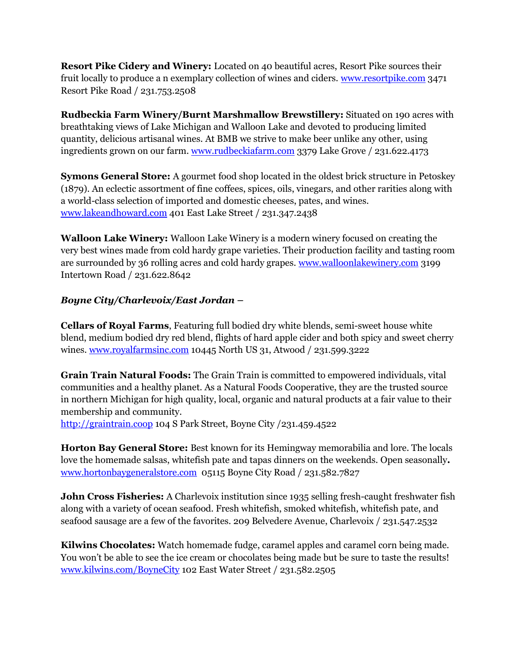**Resort Pike Cidery and Winery:** Located on 40 beautiful acres, Resort Pike sources their fruit locally to produce a n exemplary collection of wines and ciders. [www.resortpike.com](http://www.resortpike.com/) 3471 Resort Pike Road / 231.753.2508

**Rudbeckia Farm Winery/Burnt Marshmallow Brewstillery:** Situated on 190 acres with breathtaking views of Lake Michigan and Walloon Lake and devoted to producing limited quantity, delicious artisanal wines. At BMB we strive to make beer unlike any other, using ingredients grown on our farm. [www.rudbeckiafarm.com](http://www.rudbeckiafarm.com/) 3379 Lake Grove / 231.622.4173

**Symons General Store:** A gourmet food shop located in the oldest brick structure in Petoskey (1879). An eclectic assortment of fine coffees, spices, oils, vinegars, and other rarities along with a world-class selection of imported and domestic cheeses, pates, and wines. [www.lakeandhoward.com](http://www.lakeandhoward.com/) 401 East Lake Street / 231.347.2438

**Walloon Lake Winery:** Walloon Lake Winery is a modern winery focused on creating the very best wines made from cold hardy grape varieties. Their production facility and tasting room are surrounded by 36 rolling acres and cold hardy grapes. [www.walloonlakewinery.com](http://www.walloonlakewinery.com/) 3199 Intertown Road / 231.622.8642

## *Boyne City/Charlevoix/East Jordan –*

**Cellars of Royal Farms**, Featuring full bodied dry white blends, semi-sweet house white blend, medium bodied dry red blend, flights of hard apple cider and both spicy and sweet cherry wines. [www.royalfarmsinc.com](http://www.royalfarmsinc.com/) 10445 North US 31, Atwood / 231.599.3222

**Grain Train Natural Foods:** The Grain Train is committed to empowered individuals, vital communities and a healthy planet. As a Natural Foods Cooperative, they are the trusted source in northern Michigan for high quality, local, organic and natural products at a fair value to their membership and community.

[http://graintrain.coop](http://graintrain.coop/) 104 S Park Street, Boyne City /231.459.4522

**Horton Bay General Store:** Best known for its Hemingway memorabilia and lore. The locals love the homemade salsas, whitefish pate and tapas dinners on the weekends. Open seasonally**.**  [www.hortonbaygeneralstore.com](http://www.hortonbaygeneralstore.com/) 05115 Boyne City Road / 231.582.7827

**John Cross Fisheries:** A Charlevoix institution since 1935 selling fresh-caught freshwater fish along with a variety of ocean seafood. Fresh whitefish, smoked whitefish, whitefish pate, and seafood sausage are a few of the favorites. 209 Belvedere Avenue, Charlevoix / 231.547.2532

**Kilwins Chocolates:** Watch homemade fudge, caramel apples and caramel corn being made. You won't be able to see the ice cream or chocolates being made but be sure to taste the results! [www.kilwins.com/BoyneCity](http://www.kilwins.com/BoyneCity) 102 East Water Street / 231.582.2505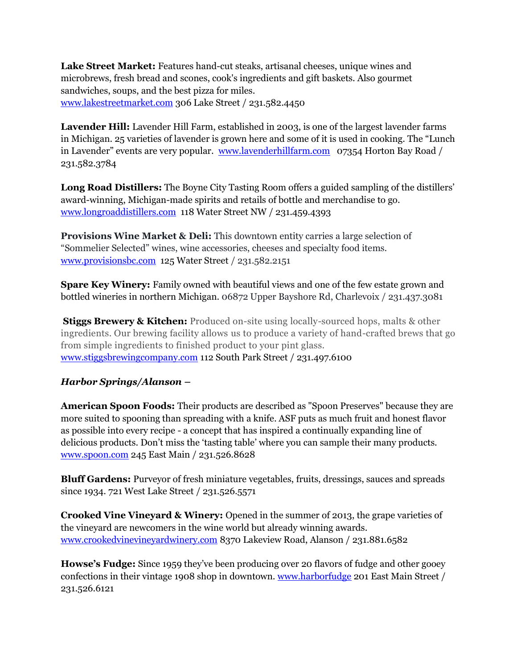**Lake Street Market:** Features hand-cut steaks, artisanal cheeses, unique wines and microbrews, fresh bread and scones, cook's ingredients and gift baskets. Also gourmet sandwiches, soups, and the best pizza for miles. [www.lakestreetmarket.com](http://www.lakestreetmarket.com/) 306 Lake Street / 231.582.4450

**Lavender Hill:** Lavender Hill Farm, established in 2003, is one of the largest lavender farms in Michigan. 25 varieties of lavender is grown here and some of it is used in cooking. The "Lunch in Lavender" events are very popular. [www.lavenderhillfarm.com](http://www.lavenderhillfarm.com/) 07354 Horton Bay Road / 231.582.3784

**Long Road Distillers:** The Boyne City Tasting Room offers a guided sampling of the distillers' award-winning, Michigan-made spirits and retails of bottle and merchandise to go. [www.longroaddistillers.com](http://www.longroaddistillers.com/) 118 Water Street NW / 231.459.4393

**Provisions Wine Market & Deli:** This downtown entity carries a large selection of "Sommelier Selected" wines, wine accessories, cheeses and specialty food items. [www.provisionsbc.com](http://www.provisionsbc.com/) 125 Water Street / 231.582.2151

**Spare Key Winery:** Family owned with beautiful views and one of the few estate grown and bottled wineries in northern Michigan. 06872 Upper Bayshore Rd, Charlevoix / 231.437.3081

**Stiggs Brewery & Kitchen:** Produced on-site using locally-sourced hops, malts & other ingredients. Our brewing facility allows us to produce a variety of hand-crafted brews that go from simple ingredients to finished product to your pint glass. [www.stiggsbrewingcompany.com](http://www.stiggsbrewingcompany.com/) 112 South Park Street / 231.497.6100

### *Harbor Springs/Alanson –*

**American Spoon Foods:** Their products are described as "Spoon Preserves" because they are more suited to spooning than spreading with a knife. ASF puts as much fruit and honest flavor as possible into every recipe - a concept that has inspired a continually expanding line of delicious products. Don't miss the 'tasting table' where you can sample their many products. [www.spoon.com](http://www.spoon.com/) 245 East Main / 231.526.8628

**Bluff Gardens:** Purveyor of fresh miniature vegetables, fruits, dressings, sauces and spreads since 1934. 721 West Lake Street / 231.526.5571

**Crooked Vine Vineyard & Winery:** Opened in the summer of 2013, the grape varieties of the vineyard are newcomers in the wine world but already winning awards. [www.crookedvinevineyardwinery.com](http://www.crookedvinevineyardwinery.com/) 8370 Lakeview Road, Alanson / 231.881.6582

**Howse's Fudge:** Since 1959 they've been producing over 20 flavors of fudge and other gooey confections in their vintage 1908 shop in downtown[. www.harborfudge](http://www.harborfudge/) 201 East Main Street / 231.526.6121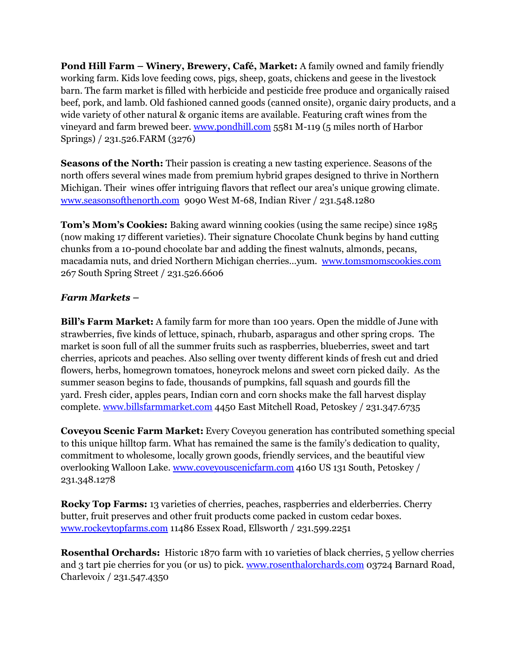**Pond Hill Farm – Winery, Brewery, Café, Market:** A family owned and family friendly working farm. Kids love feeding cows, pigs, sheep, goats, chickens and geese in the livestock barn. The farm market is filled with herbicide and pesticide free produce and organically raised beef, pork, and lamb. Old fashioned canned goods (canned onsite), organic dairy products, and a wide variety of other natural & organic items are available. Featuring craft wines from the vineyard and farm brewed beer. [www.pondhill.com](http://www.pondhill.com/) 5581 M-119 (5 miles north of Harbor Springs) / 231.526.FARM (3276)

**Seasons of the North:** Their passion is creating a new tasting experience. Seasons of the north offers several wines made from premium hybrid grapes designed to thrive in Northern Michigan. Their wines offer intriguing flavors that reflect our area's unique growing climate. [www.seasonsofthenorth.com](http://www.seasonsofthenorth.com/)9090 West M-68, Indian River / 231.548.1280

**Tom's Mom's Cookies:** Baking award winning cookies (using the same recipe) since 1985 (now making 17 different varieties). Their signature Chocolate Chunk begins by hand cutting chunks from a 10-pound chocolate bar and adding the finest walnuts, almonds, pecans, macadamia nuts, and dried Northern Michigan cherries…yum. [www.tomsmomscookies.com](http://www.tomsmomscookies.com/) 267 South Spring Street / 231.526.6606

### *Farm Markets –*

**Bill's Farm Market:** A family farm for more than 100 years. Open the middle of June with strawberries, five kinds of lettuce, spinach, rhubarb, asparagus and other spring crops. The market is soon full of all the summer fruits such as raspberries, blueberries, sweet and tart cherries, apricots and peaches. Also selling over twenty different kinds of fresh cut and dried flowers, herbs, homegrown tomatoes, honeyrock melons and sweet corn picked daily. As the summer season begins to fade, thousands of pumpkins, fall squash and gourds fill the yard. Fresh cider, apples pears, Indian corn and corn shocks make the fall harvest display complete. [www.billsfarmmarket.com](http://www.billsfarmmarket.com/) 4450 East Mitchell Road, Petoskey / 231.347.6735

**Coveyou Scenic Farm Market:** Every Coveyou generation has contributed something special to this unique hilltop farm. What has remained the same is the family's dedication to quality, commitment to wholesome, locally grown goods, friendly services, and the beautiful view overlooking Walloon Lake[. www.coveyouscenicfarm.com](http://www.coveyouscenicfarm.com/) 4160 US 131 South, Petoskey / 231.348.1278

**Rocky Top Farms:** 13 varieties of cherries, peaches, raspberries and elderberries. Cherry butter, fruit preserves and other fruit products come packed in custom cedar boxes. [www.rockeytopfarms.com](http://www.rockeytopfarms.com/) 11486 Essex Road, Ellsworth / 231.599.2251

**Rosenthal Orchards:** Historic 1870 farm with 10 varieties of black cherries, 5 yellow cherries and 3 tart pie cherries for you (or us) to pick. [www.rosenthalorchards.com](http://www.rosenthalorchards.com/) 03724 Barnard Road, Charlevoix / 231.547.4350